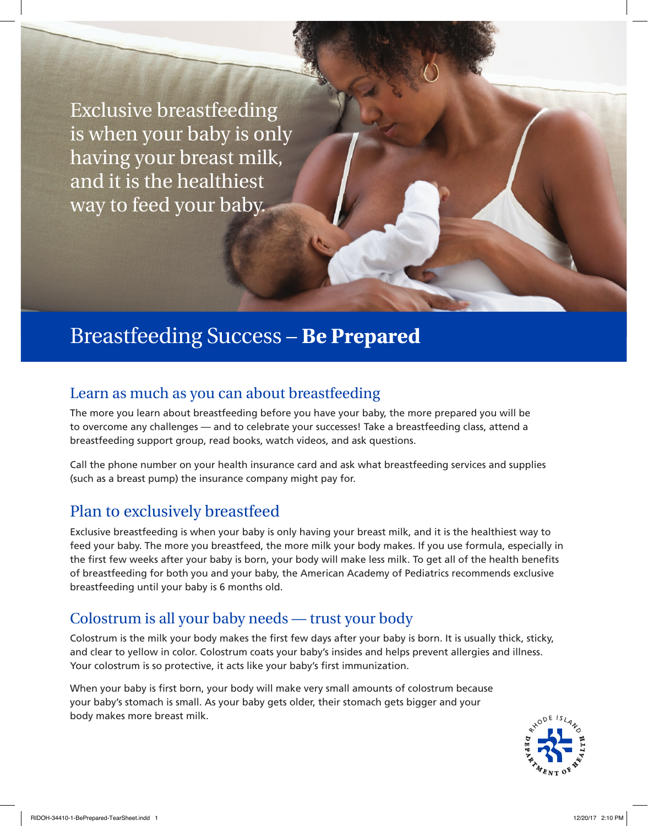Exclusive breastfeeding is when your baby is only having your breast milk, and it is the healthiest way to feed your baby.

## Breastfeeding Success – **Be Prepared**

### Learn as much as you can about breastfeeding

The more you learn about breastfeeding before you have your baby, the more prepared you will be to overcome any challenges — and to celebrate your successes! Take a breastfeeding class, attend a breastfeeding support group, read books, watch videos, and ask questions.

Call the phone number on your health insurance card and ask what breastfeeding services and supplies (such as a breast pump) the insurance company might pay for.

### Plan to exclusively breastfeed

Exclusive breastfeeding is when your baby is only having your breast milk, and it is the healthiest way to feed your baby. The more you breastfeed, the more milk your body makes. If you use formula, especially in the first few weeks after your baby is born, your body will make less milk. To get all of the health benefits of breastfeeding for both you and your baby, the American Academy of Pediatrics recommends exclusive breastfeeding until your baby is 6 months old.

### Colostrum is all your baby needs — trust your body

Colostrum is the milk your body makes the first few days after your baby is born. It is usually thick, sticky, and clear to yellow in color. Colostrum coats your baby's insides and helps prevent allergies and illness. Your colostrum is so protective, it acts like your baby's first immunization.

When your baby is first born, your body will make very small amounts of colostrum because your baby's stomach is small. As your baby gets older, their stomach gets bigger and your body makes more breast milk.